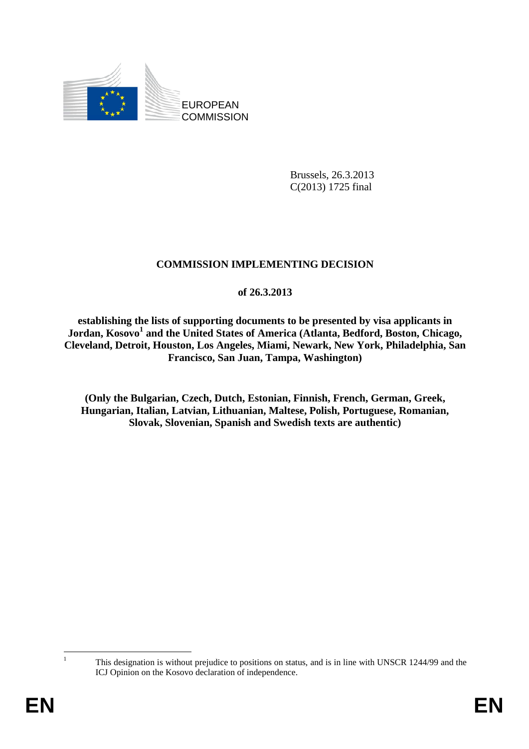

Brussels, 26.3.2013 C(2013) 1725 final

## **COMMISSION IMPLEMENTING DECISION**

## **of 26.3.2013**

**establishing the lists of supporting documents to be presented by visa applicants in Jordan, Kosovo<sup>1</sup> and the United States of America (Atlanta, Bedford, Boston, Chicago, Cleveland, Detroit, Houston, Los Angeles, Miami, Newark, New York, Philadelphia, San Francisco, San Juan, Tampa, Washington)** 

**(Only the Bulgarian, Czech, Dutch, Estonian, Finnish, French, German, Greek, Hungarian, Italian, Latvian, Lithuanian, Maltese, Polish, Portuguese, Romanian, Slovak, Slovenian, Spanish and Swedish texts are authentic)** 

 This designation is without prejudice to positions on status, and is in line with UNSCR 1244/99 and the ICJ Opinion on the Kosovo declaration of independence.

 $\frac{1}{1}$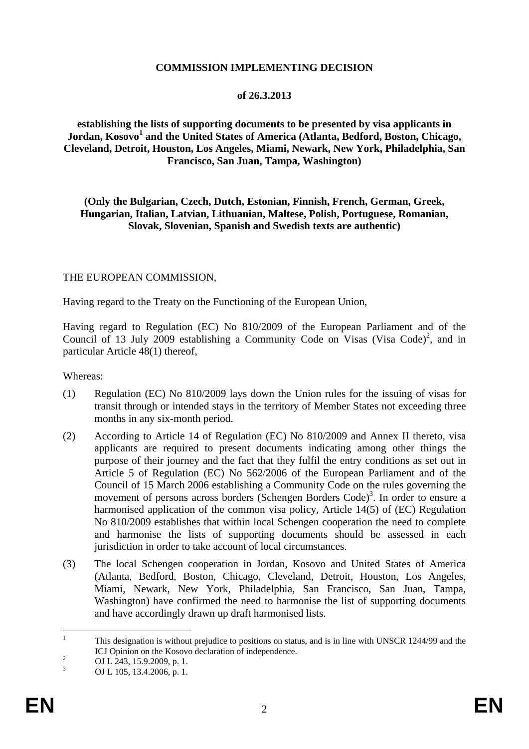#### **COMMISSION IMPLEMENTING DECISION**

#### **of 26.3.2013**

**establishing the lists of supporting documents to be presented by visa applicants in Jordan, Kosovo<sup>1</sup> and the United States of America (Atlanta, Bedford, Boston, Chicago, Cleveland, Detroit, Houston, Los Angeles, Miami, Newark, New York, Philadelphia, San Francisco, San Juan, Tampa, Washington)** 

**(Only the Bulgarian, Czech, Dutch, Estonian, Finnish, French, German, Greek, Hungarian, Italian, Latvian, Lithuanian, Maltese, Polish, Portuguese, Romanian, Slovak, Slovenian, Spanish and Swedish texts are authentic)** 

#### THE EUROPEAN COMMISSION,

Having regard to the Treaty on the Functioning of the European Union,

Having regard to Regulation (EC) No 810/2009 of the European Parliament and of the Council of 13 July 2009 establishing a Community Code on Visas (Visa Code)<sup>2</sup>, and in particular Article 48(1) thereof,

Whereas:

- (1) Regulation (EC) No 810/2009 lays down the Union rules for the issuing of visas for transit through or intended stays in the territory of Member States not exceeding three months in any six-month period.
- (2) According to Article 14 of Regulation (EC) No 810/2009 and Annex II thereto, visa applicants are required to present documents indicating among other things the purpose of their journey and the fact that they fulfil the entry conditions as set out in Article 5 of Regulation (EC) No 562/2006 of the European Parliament and of the Council of 15 March 2006 establishing a Community Code on the rules governing the movement of persons across borders (Schengen Borders Code)<sup>3</sup>. In order to ensure a harmonised application of the common visa policy, Article 14(5) of (EC) Regulation No 810/2009 establishes that within local Schengen cooperation the need to complete and harmonise the lists of supporting documents should be assessed in each jurisdiction in order to take account of local circumstances.
- (3) The local Schengen cooperation in Jordan, Kosovo and United States of America (Atlanta, Bedford, Boston, Chicago, Cleveland, Detroit, Houston, Los Angeles, Miami, Newark, New York, Philadelphia, San Francisco, San Juan, Tampa, Washington) have confirmed the need to harmonise the list of supporting documents and have accordingly drawn up draft harmonised lists.

 $\frac{1}{1}$  This designation is without prejudice to positions on status, and is in line with UNSCR 1244/99 and the ICJ Opinion on the Kosovo declaration of independence.

OJ L 243, 15.9.2009, p. 1.

<sup>3</sup> OJ L 105, 13.4.2006, p. 1.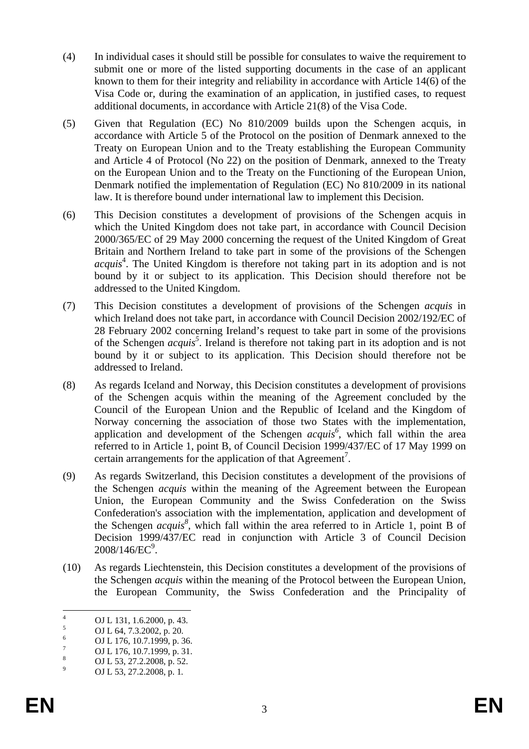- (4) In individual cases it should still be possible for consulates to waive the requirement to submit one or more of the listed supporting documents in the case of an applicant known to them for their integrity and reliability in accordance with Article 14(6) of the Visa Code or, during the examination of an application, in justified cases, to request additional documents, in accordance with Article 21(8) of the Visa Code.
- (5) Given that Regulation (EC) No 810/2009 builds upon the Schengen acquis, in accordance with Article 5 of the Protocol on the position of Denmark annexed to the Treaty on European Union and to the Treaty establishing the European Community and Article 4 of Protocol (No 22) on the position of Denmark, annexed to the Treaty on the European Union and to the Treaty on the Functioning of the European Union, Denmark notified the implementation of Regulation (EC) No 810/2009 in its national law. It is therefore bound under international law to implement this Decision.
- (6) This Decision constitutes a development of provisions of the Schengen acquis in which the United Kingdom does not take part, in accordance with Council Decision 2000/365/EC of 29 May 2000 concerning the request of the United Kingdom of Great Britain and Northern Ireland to take part in some of the provisions of the Schengen *acquis*<sup>4</sup>. The United Kingdom is therefore not taking part in its adoption and is not bound by it or subject to its application. This Decision should therefore not be addressed to the United Kingdom.
- (7) This Decision constitutes a development of provisions of the Schengen *acquis* in which Ireland does not take part, in accordance with Council Decision 2002/192/EC of 28 February 2002 concerning Ireland's request to take part in some of the provisions of the Schengen *acquis*<sup>5</sup>. Ireland is therefore not taking part in its adoption and is not bound by it or subject to its application. This Decision should therefore not be addressed to Ireland.
- (8) As regards Iceland and Norway, this Decision constitutes a development of provisions of the Schengen acquis within the meaning of the Agreement concluded by the Council of the European Union and the Republic of Iceland and the Kingdom of Norway concerning the association of those two States with the implementation, application and development of the Schengen *acquis*<sup>6</sup>, which fall within the area referred to in Article 1, point B, of Council Decision 1999/437/EC of 17 May 1999 on certain arrangements for the application of that  $A$ greement<sup>7</sup>.
- (9) As regards Switzerland, this Decision constitutes a development of the provisions of the Schengen *acquis* within the meaning of the Agreement between the European Union, the European Community and the Swiss Confederation on the Swiss Confederation's association with the implementation, application and development of the Schengen  $acquis^8$ , which fall within the area referred to in Article 1, point B of Decision 1999/437/EC read in conjunction with Article 3 of Council Decision  $2008/146$ /EC $^9$ .
- (10) As regards Liechtenstein, this Decision constitutes a development of the provisions of the Schengen *acquis* within the meaning of the Protocol between the European Union, the European Community, the Swiss Confederation and the Principality of

 $\frac{1}{4}$ OJ L 131, 1.6.2000, p. 43.

<sup>5</sup> OJ L 64, 7.3.2002, p. 20.

<sup>6</sup> OJ L 176, 10.7.1999, p. 36.

<sup>7</sup> OJ L 176, 10.7.1999, p. 31.

<sup>8</sup> OJ L 53, 27.2.2008, p. 52.

<sup>9</sup> OJ L 53, 27.2.2008, p. 1*.*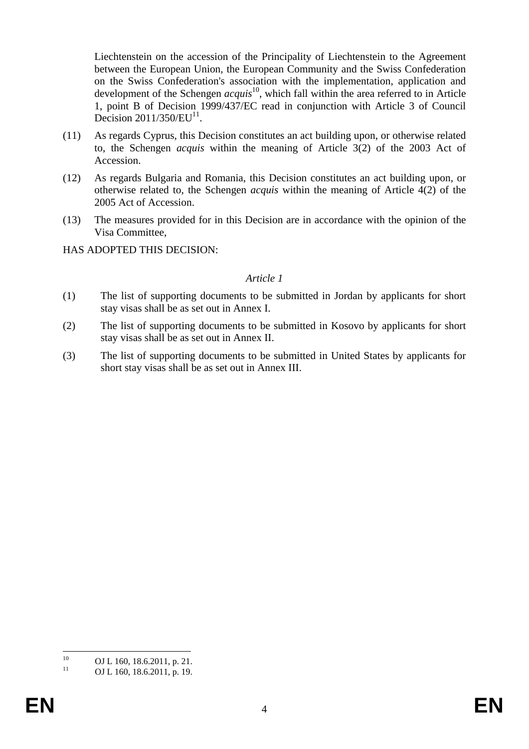Liechtenstein on the accession of the Principality of Liechtenstein to the Agreement between the European Union, the European Community and the Swiss Confederation on the Swiss Confederation's association with the implementation, application and development of the Schengen *acquis*10, which fall within the area referred to in Article 1, point B of Decision 1999/437/EC read in conjunction with Article 3 of Council Decision  $2011/350/EU^{11}$ .

- (11) As regards Cyprus, this Decision constitutes an act building upon, or otherwise related to, the Schengen *acquis* within the meaning of Article 3(2) of the 2003 Act of Accession.
- (12) As regards Bulgaria and Romania, this Decision constitutes an act building upon, or otherwise related to, the Schengen *acquis* within the meaning of Article 4(2) of the 2005 Act of Accession.
- (13) The measures provided for in this Decision are in accordance with the opinion of the Visa Committee,

HAS ADOPTED THIS DECISION:

#### *Article 1*

- (1) The list of supporting documents to be submitted in Jordan by applicants for short stay visas shall be as set out in Annex I.
- (2) The list of supporting documents to be submitted in Kosovo by applicants for short stay visas shall be as set out in Annex II.
- (3) The list of supporting documents to be submitted in United States by applicants for short stay visas shall be as set out in Annex III.

 $10<sup>1</sup>$ <sup>10</sup> OJ L 160, 18.6.2011, p. 21.<br><sup>11</sup> OJ L 160, 18.6.2011, p. 10.

OJ L 160, 18.6.2011, p. 19.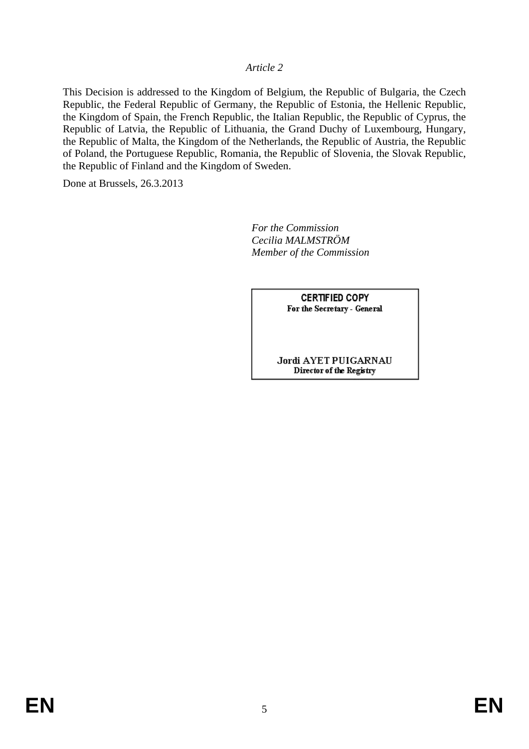### *Article 2*

This Decision is addressed to the Kingdom of Belgium, the Republic of Bulgaria, the Czech Republic, the Federal Republic of Germany, the Republic of Estonia, the Hellenic Republic, the Kingdom of Spain, the French Republic, the Italian Republic, the Republic of Cyprus, the Republic of Latvia, the Republic of Lithuania, the Grand Duchy of Luxembourg, Hungary, the Republic of Malta, the Kingdom of the Netherlands, the Republic of Austria, the Republic of Poland, the Portuguese Republic, Romania, the Republic of Slovenia, the Slovak Republic, the Republic of Finland and the Kingdom of Sweden.

Done at Brussels, 26.3.2013

 *For the Commission Cecilia MALMSTRÖM Member of the Commission* 

> **CERTIFIED COPY** For the Secretary - General

#### Jordi AYET PUIGARNAU Director of the Registry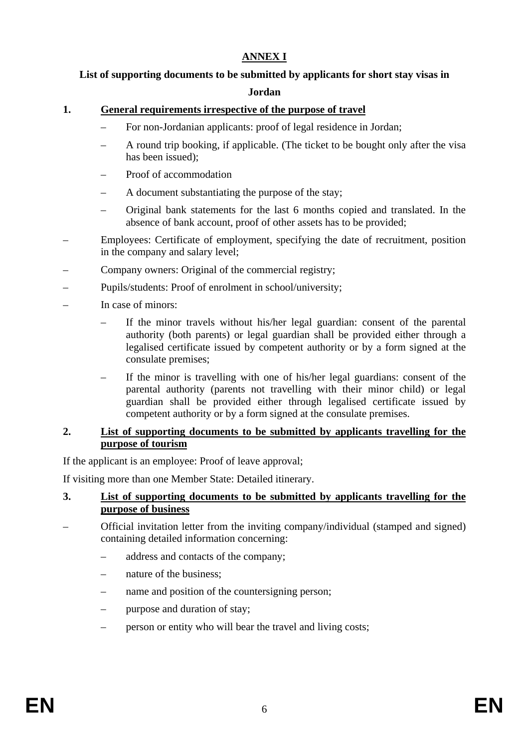## **ANNEX I**

# **List of supporting documents to be submitted by applicants for short stay visas in**

## **Jordan**

## **1. General requirements irrespective of the purpose of travel**

- For non-Jordanian applicants: proof of legal residence in Jordan;
- A round trip booking, if applicable. (The ticket to be bought only after the visa has been issued);
- Proof of accommodation
- A document substantiating the purpose of the stay;
- Original bank statements for the last 6 months copied and translated. In the absence of bank account, proof of other assets has to be provided;
- Employees: Certificate of employment, specifying the date of recruitment, position in the company and salary level;
- Company owners: Original of the commercial registry;
- Pupils/students: Proof of enrolment in school/university;
- In case of minors:
	- If the minor travels without his/her legal guardian: consent of the parental authority (both parents) or legal guardian shall be provided either through a legalised certificate issued by competent authority or by a form signed at the consulate premises;
	- If the minor is travelling with one of his/her legal guardians: consent of the parental authority (parents not travelling with their minor child) or legal guardian shall be provided either through legalised certificate issued by competent authority or by a form signed at the consulate premises.

## **2. List of supporting documents to be submitted by applicants travelling for the purpose of tourism**

If the applicant is an employee: Proof of leave approval;

If visiting more than one Member State: Detailed itinerary.

## **3. List of supporting documents to be submitted by applicants travelling for the purpose of business**

- Official invitation letter from the inviting company/individual (stamped and signed) containing detailed information concerning:
	- address and contacts of the company;
	- nature of the business;
	- hame and position of the countersigning person;
	- purpose and duration of stay;
	- person or entity who will bear the travel and living costs;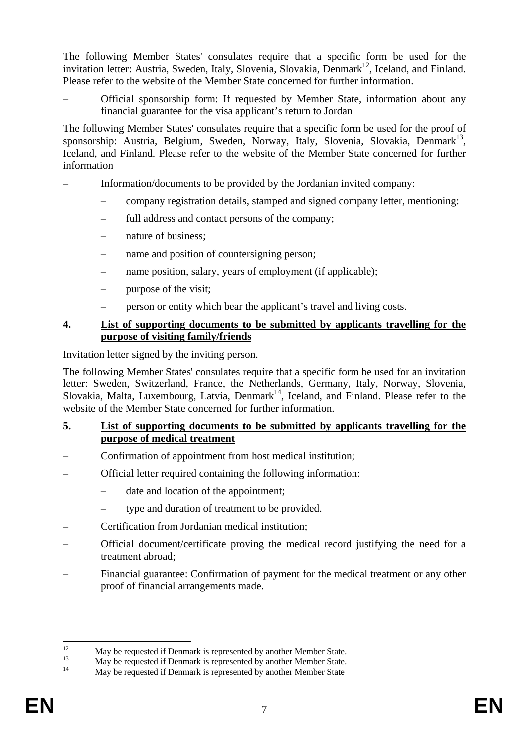The following Member States' consulates require that a specific form be used for the invitation letter: Austria, Sweden, Italy, Slovenia, Slovakia, Denmark<sup>12</sup>, Iceland, and Finland. Please refer to the website of the Member State concerned for further information.

– Official sponsorship form: If requested by Member State, information about any financial guarantee for the visa applicant's return to Jordan

The following Member States' consulates require that a specific form be used for the proof of sponsorship: Austria, Belgium, Sweden, Norway, Italy, Slovenia, Slovakia, Denmark<sup>13</sup>, Iceland, and Finland. Please refer to the website of the Member State concerned for further information

- Information/documents to be provided by the Jordanian invited company:
	- company registration details, stamped and signed company letter, mentioning:
	- full address and contact persons of the company;
	- nature of business;
	- name and position of countersigning person;
	- hame position, salary, years of employment (if applicable);
	- purpose of the visit;
	- person or entity which bear the applicant's travel and living costs.

## **4. List of supporting documents to be submitted by applicants travelling for the purpose of visiting family/friends**

Invitation letter signed by the inviting person.

The following Member States' consulates require that a specific form be used for an invitation letter: Sweden, Switzerland, France, the Netherlands, Germany, Italy, Norway, Slovenia, Slovakia, Malta, Luxembourg, Latvia, Denmark<sup>14</sup>, Iceland, and Finland. Please refer to the website of the Member State concerned for further information.

## **5. List of supporting documents to be submitted by applicants travelling for the purpose of medical treatment**

- Confirmation of appointment from host medical institution;
- Official letter required containing the following information:
	- date and location of the appointment;
	- type and duration of treatment to be provided.
- Certification from Jordanian medical institution;
- Official document/certificate proving the medical record justifying the need for a treatment abroad;
- Financial guarantee: Confirmation of payment for the medical treatment or any other proof of financial arrangements made.

 $12<sup>12</sup>$  $12$  May be requested if Denmark is represented by another Member State.

 $13$  May be requested if Denmark is represented by another Member State.

May be requested if Denmark is represented by another Member State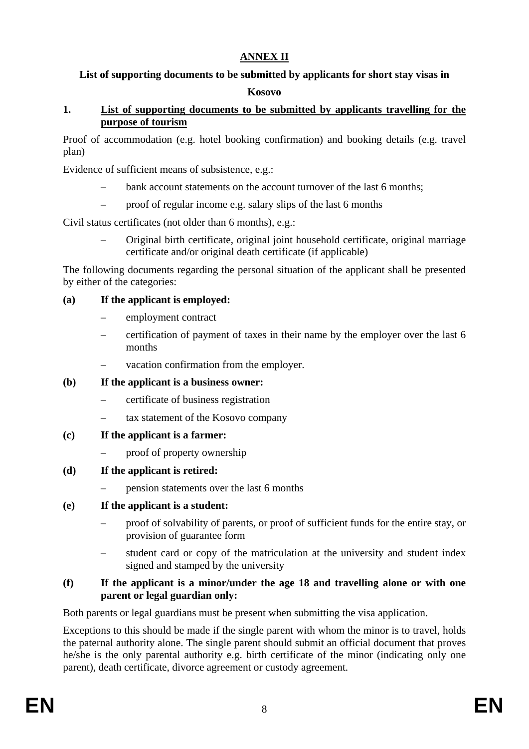## **ANNEX II**

# **List of supporting documents to be submitted by applicants for short stay visas in**

## **Kosovo**

## **1. List of supporting documents to be submitted by applicants travelling for the purpose of tourism**

Proof of accommodation (e.g. hotel booking confirmation) and booking details (e.g. travel plan)

Evidence of sufficient means of subsistence, e.g.:

- bank account statements on the account turnover of the last 6 months;
- proof of regular income e.g. salary slips of the last 6 months

Civil status certificates (not older than 6 months), e.g.:

– Original birth certificate, original joint household certificate, original marriage certificate and/or original death certificate (if applicable)

The following documents regarding the personal situation of the applicant shall be presented by either of the categories:

## **(a) If the applicant is employed:**

- employment contract
- certification of payment of taxes in their name by the employer over the last 6 months
- vacation confirmation from the employer.

### **(b) If the applicant is a business owner:**

- certificate of business registration
- tax statement of the Kosovo company

### **(c) If the applicant is a farmer:**

- proof of property ownership
- **(d) If the applicant is retired:** 
	- pension statements over the last 6 months

## **(e) If the applicant is a student:**

- proof of solvability of parents, or proof of sufficient funds for the entire stay, or provision of guarantee form
- student card or copy of the matriculation at the university and student index signed and stamped by the university

## **(f) If the applicant is a minor/under the age 18 and travelling alone or with one parent or legal guardian only:**

Both parents or legal guardians must be present when submitting the visa application.

Exceptions to this should be made if the single parent with whom the minor is to travel, holds the paternal authority alone. The single parent should submit an official document that proves he/she is the only parental authority e.g. birth certificate of the minor (indicating only one parent), death certificate, divorce agreement or custody agreement.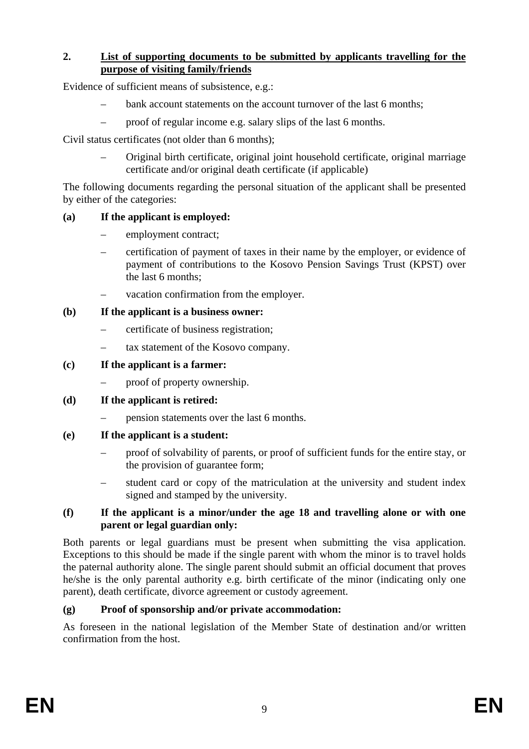### **2. List of supporting documents to be submitted by applicants travelling for the purpose of visiting family/friends**

Evidence of sufficient means of subsistence, e.g.:

- bank account statements on the account turnover of the last 6 months;
- proof of regular income e.g. salary slips of the last 6 months.

Civil status certificates (not older than 6 months);

– Original birth certificate, original joint household certificate, original marriage certificate and/or original death certificate (if applicable)

The following documents regarding the personal situation of the applicant shall be presented by either of the categories:

## **(a) If the applicant is employed:**

- employment contract;
- certification of payment of taxes in their name by the employer, or evidence of payment of contributions to the Kosovo Pension Savings Trust (KPST) over the last 6 months;
- vacation confirmation from the employer.

## **(b) If the applicant is a business owner:**

- certificate of business registration;
- tax statement of the Kosovo company.

## **(c) If the applicant is a farmer:**

– proof of property ownership.

## **(d) If the applicant is retired:**

– pension statements over the last 6 months.

## **(e) If the applicant is a student:**

- proof of solvability of parents, or proof of sufficient funds for the entire stay, or the provision of guarantee form;
- student card or copy of the matriculation at the university and student index signed and stamped by the university.

### **(f) If the applicant is a minor/under the age 18 and travelling alone or with one parent or legal guardian only:**

Both parents or legal guardians must be present when submitting the visa application. Exceptions to this should be made if the single parent with whom the minor is to travel holds the paternal authority alone. The single parent should submit an official document that proves he/she is the only parental authority e.g. birth certificate of the minor (indicating only one parent), death certificate, divorce agreement or custody agreement.

## **(g) Proof of sponsorship and/or private accommodation:**

As foreseen in the national legislation of the Member State of destination and/or written confirmation from the host.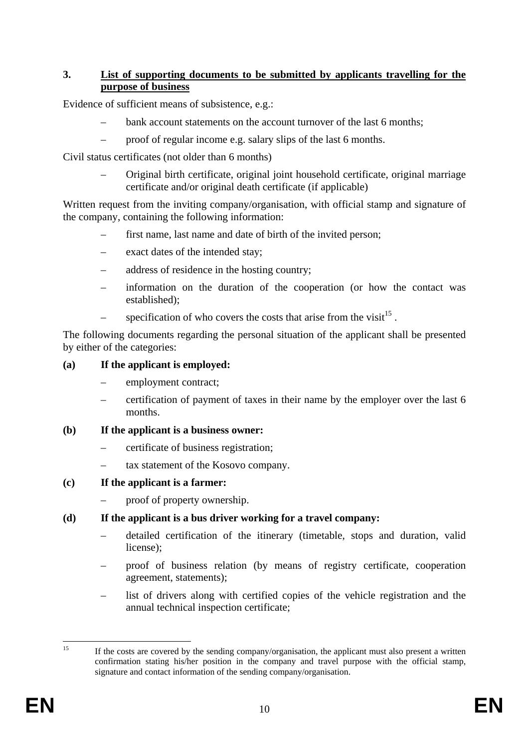## **3. List of supporting documents to be submitted by applicants travelling for the purpose of business**

Evidence of sufficient means of subsistence, e.g.:

- bank account statements on the account turnover of the last 6 months;
- proof of regular income e.g. salary slips of the last 6 months.

Civil status certificates (not older than 6 months)

– Original birth certificate, original joint household certificate, original marriage certificate and/or original death certificate (if applicable)

Written request from the inviting company/organisation, with official stamp and signature of the company, containing the following information:

- first name, last name and date of birth of the invited person;
- exact dates of the intended stay;
- address of residence in the hosting country;
- information on the duration of the cooperation (or how the contact was established);
- specification of who covers the costs that arise from the visit<sup>15</sup>.

The following documents regarding the personal situation of the applicant shall be presented by either of the categories:

## **(a) If the applicant is employed:**

- employment contract;
- certification of payment of taxes in their name by the employer over the last 6 months.

### **(b) If the applicant is a business owner:**

- certificate of business registration;
- tax statement of the Kosovo company.
- **(c) If the applicant is a farmer:** 
	- proof of property ownership.

### **(d) If the applicant is a bus driver working for a travel company:**

- detailed certification of the itinerary (timetable, stops and duration, valid license);
- proof of business relation (by means of registry certificate, cooperation agreement, statements);
- list of drivers along with certified copies of the vehicle registration and the annual technical inspection certificate;

 $15$ 15 If the costs are covered by the sending company/organisation, the applicant must also present a written confirmation stating his/her position in the company and travel purpose with the official stamp, signature and contact information of the sending company/organisation.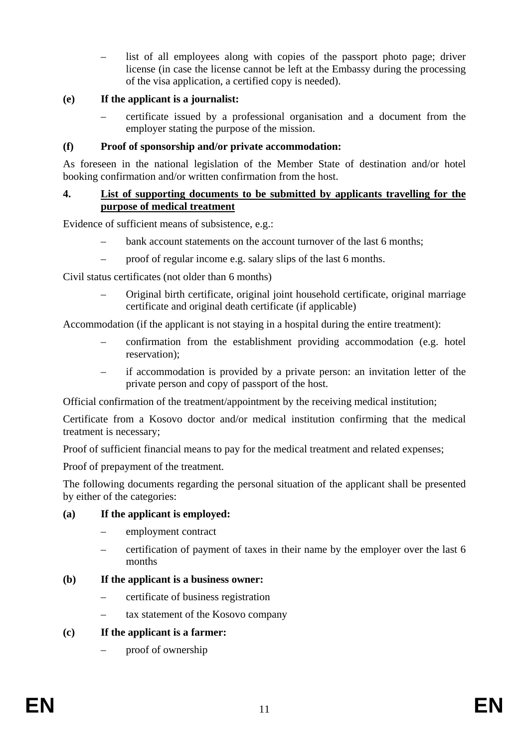– list of all employees along with copies of the passport photo page; driver license (in case the license cannot be left at the Embassy during the processing of the visa application, a certified copy is needed).

## **(e) If the applicant is a journalist:**

– certificate issued by a professional organisation and a document from the employer stating the purpose of the mission.

## **(f) Proof of sponsorship and/or private accommodation:**

As foreseen in the national legislation of the Member State of destination and/or hotel booking confirmation and/or written confirmation from the host.

## **4. List of supporting documents to be submitted by applicants travelling for the purpose of medical treatment**

Evidence of sufficient means of subsistence, e.g.:

- bank account statements on the account turnover of the last 6 months;
- proof of regular income e.g. salary slips of the last 6 months.

Civil status certificates (not older than 6 months)

– Original birth certificate, original joint household certificate, original marriage certificate and original death certificate (if applicable)

Accommodation (if the applicant is not staying in a hospital during the entire treatment):

- confirmation from the establishment providing accommodation (e.g. hotel reservation);
- if accommodation is provided by a private person: an invitation letter of the private person and copy of passport of the host.

Official confirmation of the treatment/appointment by the receiving medical institution;

Certificate from a Kosovo doctor and/or medical institution confirming that the medical treatment is necessary;

Proof of sufficient financial means to pay for the medical treatment and related expenses;

Proof of prepayment of the treatment.

The following documents regarding the personal situation of the applicant shall be presented by either of the categories:

## **(a) If the applicant is employed:**

- employment contract
- certification of payment of taxes in their name by the employer over the last 6 months

## **(b) If the applicant is a business owner:**

- certificate of business registration
- tax statement of the Kosovo company
- **(c) If the applicant is a farmer:** 
	- proof of ownership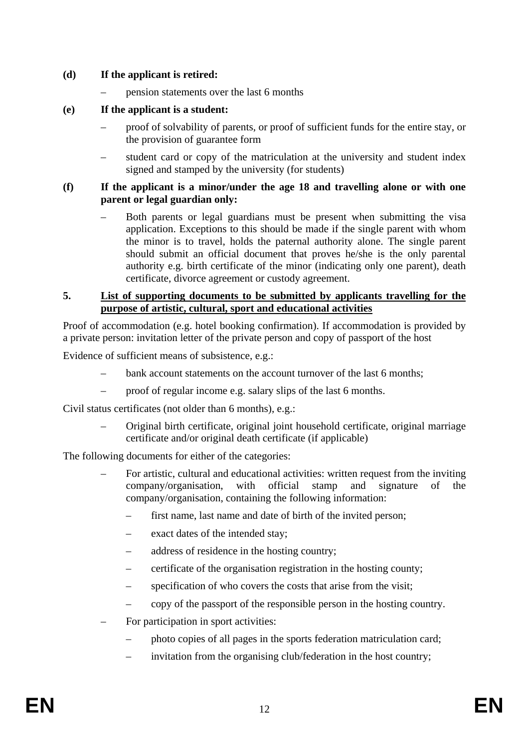### **(d) If the applicant is retired:**

– pension statements over the last 6 months

## **(e) If the applicant is a student:**

- proof of solvability of parents, or proof of sufficient funds for the entire stay, or the provision of guarantee form
- student card or copy of the matriculation at the university and student index signed and stamped by the university (for students)

#### **(f) If the applicant is a minor/under the age 18 and travelling alone or with one parent or legal guardian only:**

– Both parents or legal guardians must be present when submitting the visa application. Exceptions to this should be made if the single parent with whom the minor is to travel, holds the paternal authority alone. The single parent should submit an official document that proves he/she is the only parental authority e.g. birth certificate of the minor (indicating only one parent), death certificate, divorce agreement or custody agreement.

#### **5. List of supporting documents to be submitted by applicants travelling for the purpose of artistic, cultural, sport and educational activities**

Proof of accommodation (e.g. hotel booking confirmation). If accommodation is provided by a private person: invitation letter of the private person and copy of passport of the host

Evidence of sufficient means of subsistence, e.g.:

- bank account statements on the account turnover of the last 6 months;
- proof of regular income e.g. salary slips of the last 6 months.

Civil status certificates (not older than 6 months), e.g.:

– Original birth certificate, original joint household certificate, original marriage certificate and/or original death certificate (if applicable)

The following documents for either of the categories:

- For artistic, cultural and educational activities: written request from the inviting company/organisation, with official stamp and signature of the company/organisation, containing the following information:
	- first name, last name and date of birth of the invited person;
	- exact dates of the intended stay;
	- address of residence in the hosting country;
	- certificate of the organisation registration in the hosting county;
	- specification of who covers the costs that arise from the visit;
	- copy of the passport of the responsible person in the hosting country.
- For participation in sport activities:
	- photo copies of all pages in the sports federation matriculation card;
	- invitation from the organising club/federation in the host country;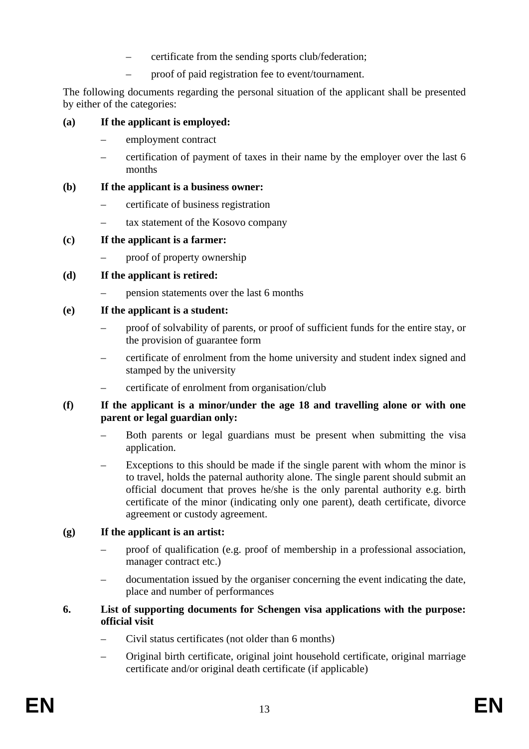- certificate from the sending sports club/federation;
- proof of paid registration fee to event/tournament.

The following documents regarding the personal situation of the applicant shall be presented by either of the categories:

## **(a) If the applicant is employed:**

- employment contract
- certification of payment of taxes in their name by the employer over the last 6 months

### **(b) If the applicant is a business owner:**

- certificate of business registration
- tax statement of the Kosovo company

## **(c) If the applicant is a farmer:**

– proof of property ownership

## **(d) If the applicant is retired:**

– pension statements over the last 6 months

## **(e) If the applicant is a student:**

- proof of solvability of parents, or proof of sufficient funds for the entire stay, or the provision of guarantee form
- certificate of enrolment from the home university and student index signed and stamped by the university
- certificate of enrolment from organisation/club

## **(f) If the applicant is a minor/under the age 18 and travelling alone or with one parent or legal guardian only:**

- Both parents or legal guardians must be present when submitting the visa application.
- Exceptions to this should be made if the single parent with whom the minor is to travel, holds the paternal authority alone. The single parent should submit an official document that proves he/she is the only parental authority e.g. birth certificate of the minor (indicating only one parent), death certificate, divorce agreement or custody agreement.

## **(g) If the applicant is an artist:**

- proof of qualification (e.g. proof of membership in a professional association, manager contract etc.)
- documentation issued by the organiser concerning the event indicating the date, place and number of performances

### **6. List of supporting documents for Schengen visa applications with the purpose: official visit**

- Civil status certificates (not older than 6 months)
- Original birth certificate, original joint household certificate, original marriage certificate and/or original death certificate (if applicable)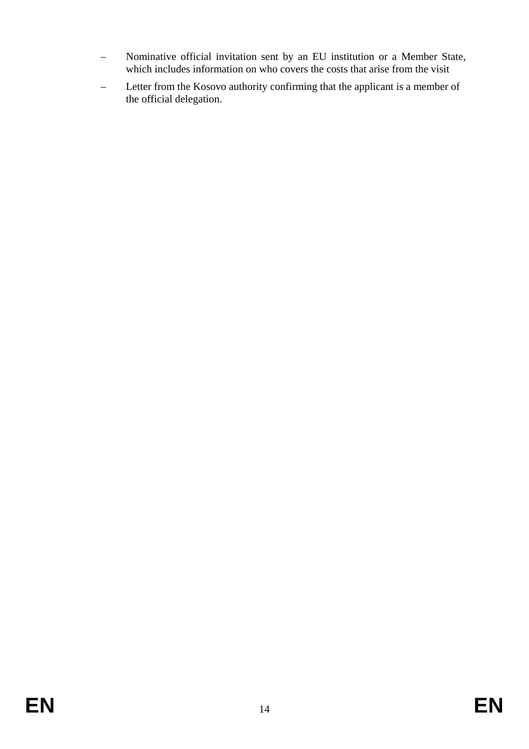- Nominative official invitation sent by an EU institution or a Member State, which includes information on who covers the costs that arise from the visit
- Letter from the Kosovo authority confirming that the applicant is a member of the official delegation.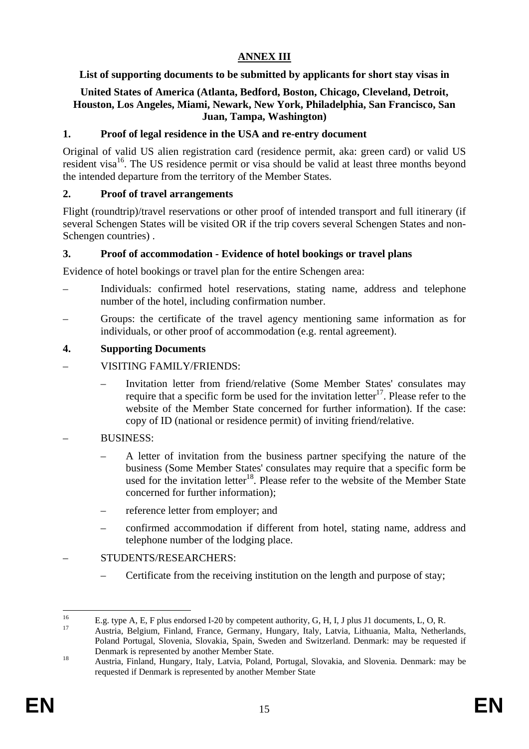# **ANNEX III**

## **List of supporting documents to be submitted by applicants for short stay visas in**

## **United States of America (Atlanta, Bedford, Boston, Chicago, Cleveland, Detroit, Houston, Los Angeles, Miami, Newark, New York, Philadelphia, San Francisco, San Juan, Tampa, Washington)**

## **1. Proof of legal residence in the USA and re-entry document**

Original of valid US alien registration card (residence permit, aka: green card) or valid US resident visa<sup>16</sup>. The US residence permit or visa should be valid at least three months beyond the intended departure from the territory of the Member States.

## **2. Proof of travel arrangements**

Flight (roundtrip)/travel reservations or other proof of intended transport and full itinerary (if several Schengen States will be visited OR if the trip covers several Schengen States and non-Schengen countries) .

## **3. Proof of accommodation - Evidence of hotel bookings or travel plans**

Evidence of hotel bookings or travel plan for the entire Schengen area:

- Individuals: confirmed hotel reservations, stating name, address and telephone number of the hotel, including confirmation number.
- Groups: the certificate of the travel agency mentioning same information as for individuals, or other proof of accommodation (e.g. rental agreement).

## **4. Supporting Documents**

- VISITING FAMILY/FRIENDS:
	- Invitation letter from friend/relative (Some Member States' consulates may require that a specific form be used for the invitation letter<sup>17</sup>. Please refer to the website of the Member State concerned for further information). If the case: copy of ID (national or residence permit) of inviting friend/relative.

### – BUSINESS:

- A letter of invitation from the business partner specifying the nature of the business (Some Member States' consulates may require that a specific form be used for the invitation letter<sup>18</sup>. Please refer to the website of the Member State concerned for further information);
- reference letter from employer; and
- confirmed accommodation if different from hotel, stating name, address and telephone number of the lodging place.

### – STUDENTS/RESEARCHERS:

– Certificate from the receiving institution on the length and purpose of stay;

<sup>16</sup> <sup>16</sup> E.g. type A, E, F plus endorsed I-20 by competent authority, G, H, I, J plus J1 documents, L, O, R.

<sup>17</sup> Austria, Belgium, Finland, France, Germany, Hungary, Italy, Latvia, Lithuania, Malta, Netherlands, Poland Portugal, Slovenia, Slovakia, Spain, Sweden and Switzerland. Denmark: may be requested if Denmark is represented by another Member State.<br>18 Austria, Finland, Hungary, Italy, Latvia, Poland, Portugal, Slovakia, and Slovenia. Denmark: may be

requested if Denmark is represented by another Member State